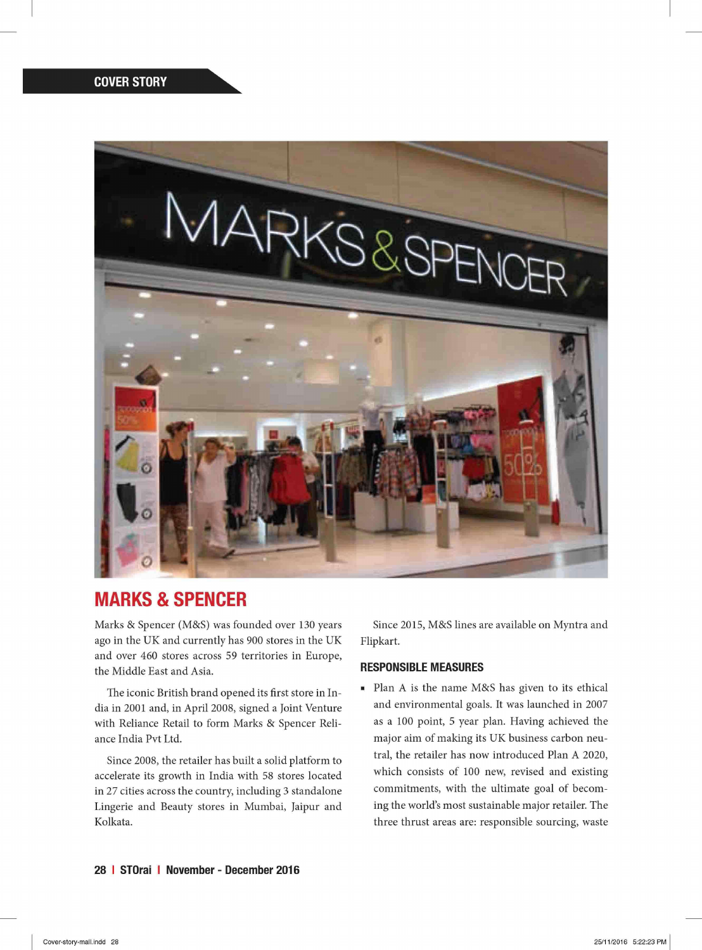

## MARKS & SPENCER

Marks & Spencer (M&S) was founded over 130 years ago in the UK and currently has 900 stores in the UK and over 460 stores across 59 territories in Europe, the Middle East and Asia.

The iconic British brand opened its first store in India in 2001 and, in April 2008, signed a Joint Venture with Reliance Retail to form Marks & Spencer Reliance India Pvt Ltd.

Since 2008, the retailer has built a solid platform to accelerate its growth in India with 58 stores located in 27 cities across the country, including 3 standalone Lingerie and Beauty stores in Mumbai, Jaipur and Kolkata.

Since 2015, M&S lines are available on Myntra and Flipkart.

## RESPONSIBLE MEASURES

• Plan A is the name M&S has given to its ethical and environmental goals. It was launched in 2007 as a 100 point, 5 year plan. Having achieved the major aim of making its UK business carbon neutral, the retailer has now introduced Plan A 2020, which consists of 100 new, revised and existing commitments, with the ultimate goal of becoming the world's most sustainable major retailer. The three thrust areas are: responsible sourcing, waste